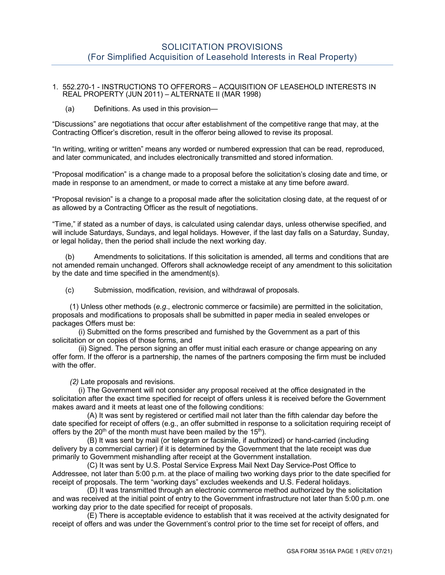## 1. 552.270-1 - INSTRUCTIONS TO OFFERORS – ACQUISITION OF LEASEHOLD INTERESTS IN REAL PROPERTY (JUN 2011) – ALTERNATE II (MAR 1998)

(a) Definitions. As used in this provision—

"Discussions" are negotiations that occur after establishment of the competitive range that may, at the Contracting Officer's discretion, result in the offeror being allowed to revise its proposal.

"In writing, writing or written" means any worded or numbered expression that can be read, reproduced, and later communicated, and includes electronically transmitted and stored information.

"Proposal modification" is a change made to a proposal before the solicitation's closing date and time, or made in response to an amendment, or made to correct a mistake at any time before award.

"Proposal revision" is a change to a proposal made after the solicitation closing date, at the request of or as allowed by a Contracting Officer as the result of negotiations.

"Time," if stated as a number of days, is calculated using calendar days, unless otherwise specified, and will include Saturdays, Sundays, and legal holidays. However, if the last day falls on a Saturday, Sunday, or legal holiday, then the period shall include the next working day.

(b) Amendments to solicitations. If this solicitation is amended, all terms and conditions that are not amended remain unchanged. Offerors shall acknowledge receipt of any amendment to this solicitation by the date and time specified in the amendment(s).

(c) Submission, modification, revision, and withdrawal of proposals.

(1) Unless other methods (*e.g*., electronic commerce or facsimile) are permitted in the solicitation, proposals and modifications to proposals shall be submitted in paper media in sealed envelopes or packages Offers must be:

(i) Submitted on the forms prescribed and furnished by the Government as a part of this solicitation or on copies of those forms, and

(ii) Signed. The person signing an offer must initial each erasure or change appearing on any offer form. If the offeror is a partnership, the names of the partners composing the firm must be included with the offer.

*(2)* Late proposals and revisions*.*

(i) The Government will not consider any proposal received at the office designated in the solicitation after the exact time specified for receipt of offers unless it is received before the Government makes award and it meets at least one of the following conditions:

(A) It was sent by registered or certified mail not later than the fifth calendar day before the date specified for receipt of offers (e.g., an offer submitted in response to a solicitation requiring receipt of offers by the  $20<sup>th</sup>$  of the month must have been mailed by the 15<sup>th</sup>).

(B) It was sent by mail (or telegram or facsimile, if authorized) or hand-carried (including delivery by a commercial carrier) if it is determined by the Government that the late receipt was due primarily to Government mishandling after receipt at the Government installation.

(C) It was sent by U.S. Postal Service Express Mail Next Day Service-Post Office to Addressee, not later than 5:00 p.m. at the place of mailing two working days prior to the date specified for receipt of proposals. The term "working days" excludes weekends and U.S. Federal holidays.

(D) It was transmitted through an electronic commerce method authorized by the solicitation and was received at the initial point of entry to the Government infrastructure not later than 5:00 p.m. one working day prior to the date specified for receipt of proposals.

(E) There is acceptable evidence to establish that it was received at the activity designated for receipt of offers and was under the Government's control prior to the time set for receipt of offers, and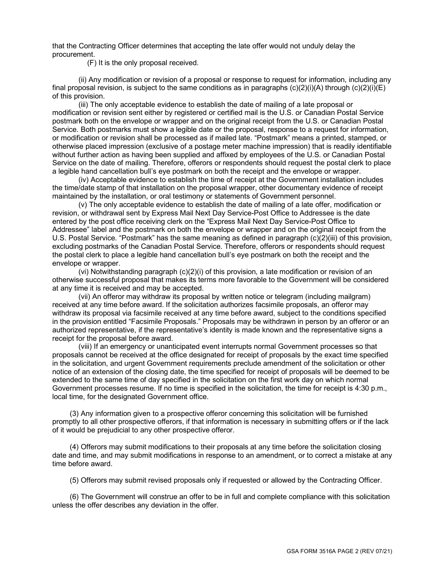that the Contracting Officer determines that accepting the late offer would not unduly delay the procurement.

(F) It is the only proposal received.

(ii) Any modification or revision of a proposal or response to request for information, including any final proposal revision, is subject to the same conditions as in paragraphs  $(c)(2)(i)(A)$  through  $(c)(2)(i)(E)$ of this provision.

(iii) The only acceptable evidence to establish the date of mailing of a late proposal or modification or revision sent either by registered or certified mail is the U.S. or Canadian Postal Service postmark both on the envelope or wrapper and on the original receipt from the U.S. or Canadian Postal Service. Both postmarks must show a legible date or the proposal, response to a request for information, or modification or revision shall be processed as if mailed late. "Postmark" means a printed, stamped, or otherwise placed impression (exclusive of a postage meter machine impression) that is readily identifiable without further action as having been supplied and affixed by employees of the U.S. or Canadian Postal Service on the date of mailing. Therefore, offerors or respondents should request the postal clerk to place a legible hand cancellation bull's eye postmark on both the receipt and the envelope or wrapper.

(iv) Acceptable evidence to establish the time of receipt at the Government installation includes the time/date stamp of that installation on the proposal wrapper, other documentary evidence of receipt maintained by the installation, or oral testimony or statements of Government personnel.

(v) The only acceptable evidence to establish the date of mailing of a late offer, modification or revision, or withdrawal sent by Express Mail Next Day Service-Post Office to Addressee is the date entered by the post office receiving clerk on the "Express Mail Next Day Service-Post Office to Addressee" label and the postmark on both the envelope or wrapper and on the original receipt from the U.S. Postal Service. "Postmark" has the same meaning as defined in paragraph (c)(2)(iii) of this provision, excluding postmarks of the Canadian Postal Service. Therefore, offerors or respondents should request the postal clerk to place a legible hand cancellation bull's eye postmark on both the receipt and the envelope or wrapper.

(vi) Notwithstanding paragraph (c)(2)(i) of this provision, a late modification or revision of an otherwise successful proposal that makes its terms more favorable to the Government will be considered at any time it is received and may be accepted.

(vii) An offeror may withdraw its proposal by written notice or telegram (including mailgram) received at any time before award. If the solicitation authorizes facsimile proposals, an offeror may withdraw its proposal via facsimile received at any time before award, subject to the conditions specified in the provision entitled "Facsimile Proposals." Proposals may be withdrawn in person by an offeror or an authorized representative, if the representative's identity is made known and the representative signs a receipt for the proposal before award.

(viii) If an emergency or unanticipated event interrupts normal Government processes so that proposals cannot be received at the office designated for receipt of proposals by the exact time specified in the solicitation, and urgent Government requirements preclude amendment of the solicitation or other notice of an extension of the closing date, the time specified for receipt of proposals will be deemed to be extended to the same time of day specified in the solicitation on the first work day on which normal Government processes resume. If no time is specified in the solicitation, the time for receipt is 4:30 p.m., local time, for the designated Government office.

(3) Any information given to a prospective offeror concerning this solicitation will be furnished promptly to all other prospective offerors, if that information is necessary in submitting offers or if the lack of it would be prejudicial to any other prospective offeror.

(4) Offerors may submit modifications to their proposals at any time before the solicitation closing date and time, and may submit modifications in response to an amendment, or to correct a mistake at any time before award.

(5) Offerors may submit revised proposals only if requested or allowed by the Contracting Officer.

(6) The Government will construe an offer to be in full and complete compliance with this solicitation unless the offer describes any deviation in the offer.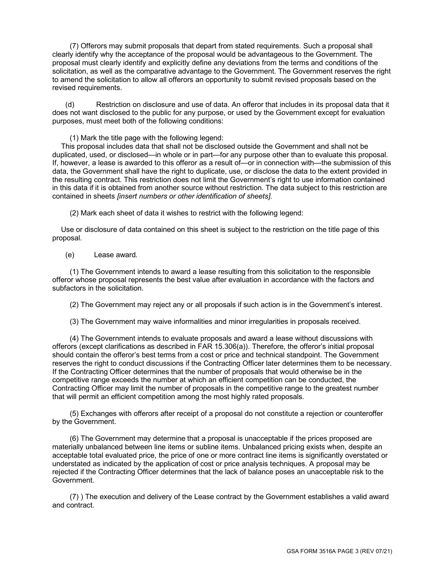(7) Offerors may submit proposals that depart from stated requirements. Such a proposal shall clearly identify why the acceptance of the proposal would be advantageous to the Government. The proposal must clearly identify and explicitly define any deviations from the terms and conditions of the solicitation, as well as the comparative advantage to the Government. The Government reserves the right to amend the solicitation to allow all offerors an opportunity to submit revised proposals based on the revised requirements.

(d) Restriction on disclosure and use of data. An offeror that includes in its proposal data that it does not want disclosed to the public for any purpose, or used by the Government except for evaluation purposes, must meet both of the following conditions:

(1) Mark the title page with the following legend:

This proposal includes data that shall not be disclosed outside the Government and shall not be duplicated, used, or disclosed—in whole or in part—for any purpose other than to evaluate this proposal. If, however, a lease is awarded to this offeror as a result of—or in connection with—the submission of this data, the Government shall have the right to duplicate, use, or disclose the data to the extent provided in the resulting contract. This restriction does not limit the Government's right to use information contained in this data if it is obtained from another source without restriction. The data subject to this restriction are contained in sheets *[insert numbers or other identification of sheets]*.

(2) Mark each sheet of data it wishes to restrict with the following legend:

Use or disclosure of data contained on this sheet is subject to the restriction on the title page of this proposal.

(e) Lease award*.*

(1) The Government intends to award a lease resulting from this solicitation to the responsible offeror whose proposal represents the best value after evaluation in accordance with the factors and subfactors in the solicitation.

(2) The Government may reject any or all proposals if such action is in the Government's interest.

(3) The Government may waive informalities and minor irregularities in proposals received.

(4) The Government intends to evaluate proposals and award a lease without discussions with offerors (except clarifications as described in FAR 15.306(a)). Therefore, the offeror's initial proposal should contain the offeror's best terms from a cost or price and technical standpoint. The Government reserves the right to conduct discussions if the Contracting Officer later determines them to be necessary. If the Contracting Officer determines that the number of proposals that would otherwise be in the competitive range exceeds the number at which an efficient competition can be conducted, the Contracting Officer may limit the number of proposals in the competitive range to the greatest number that will permit an efficient competition among the most highly rated proposals.

(5) Exchanges with offerors after receipt of a proposal do not constitute a rejection or counteroffer by the Government.

(6) The Government may determine that a proposal is unacceptable if the prices proposed are materially unbalanced between line items or subline items. Unbalanced pricing exists when, despite an acceptable total evaluated price, the price of one or more contract line items is significantly overstated or understated as indicated by the application of cost or price analysis techniques. A proposal may be rejected if the Contracting Officer determines that the lack of balance poses an unacceptable risk to the Government.

(7) ) The execution and delivery of the Lease contract by the Government establishes a valid award and contract.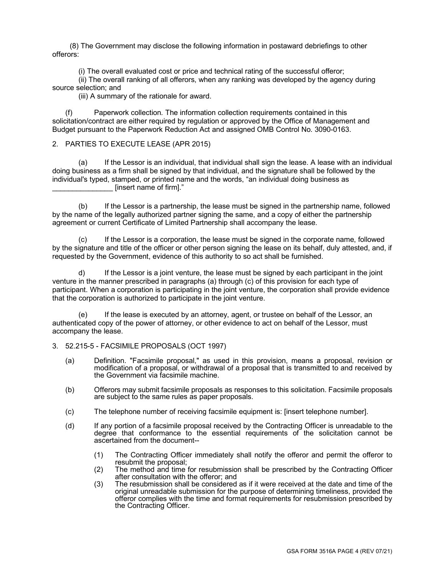(8) The Government may disclose the following information in postaward debriefings to other offerors:

(i) The overall evaluated cost or price and technical rating of the successful offeror;

(ii) The overall ranking of all offerors, when any ranking was developed by the agency during source selection; and

(iii) A summary of the rationale for award.

(f) Paperwork collection*.* The information collection requirements contained in this solicitation/contract are either required by regulation or approved by the Office of Management and Budget pursuant to the Paperwork Reduction Act and assigned OMB Control No. 3090-0163.

### 2. PARTIES TO EXECUTE LEASE (APR 2015)

(a) If the Lessor is an individual, that individual shall sign the lease. A lease with an individual doing business as a firm shall be signed by that individual, and the signature shall be followed by the individual's typed, stamped, or printed name and the words, "an individual doing business as [insert name of firm]."

(b) If the Lessor is a partnership, the lease must be signed in the partnership name, followed by the name of the legally authorized partner signing the same, and a copy of either the partnership agreement or current Certificate of Limited Partnership shall accompany the lease.

(c) If the Lessor is a corporation, the lease must be signed in the corporate name, followed by the signature and title of the officer or other person signing the lease on its behalf, duly attested, and, if requested by the Government, evidence of this authority to so act shall be furnished.

d) If the Lessor is a joint venture, the lease must be signed by each participant in the joint venture in the manner prescribed in paragraphs (a) through (c) of this provision for each type of participant. When a corporation is participating in the joint venture, the corporation shall provide evidence that the corporation is authorized to participate in the joint venture.

(e) If the lease is executed by an attorney, agent, or trustee on behalf of the Lessor, an authenticated copy of the power of attorney, or other evidence to act on behalf of the Lessor, must accompany the lease.

## 3. 52.215-5 - FACSIMILE PROPOSALS (OCT 1997)

- (a) Definition. "Facsimile proposal," as used in this provision, means a proposal, revision or modification of a proposal, or withdrawal of a proposal that is transmitted to and received by the Government via facsimile machine.
- (b) Offerors may submit facsimile proposals as responses to this solicitation. Facsimile proposals are subject to the same rules as paper proposals.
- (c) The telephone number of receiving facsimile equipment is: [insert telephone number].
- (d) If any portion of a facsimile proposal received by the Contracting Officer is unreadable to the degree that conformance to the essential requirements of the solicitation cannot be ascertained from the document--
	- (1) The Contracting Officer immediately shall notify the offeror and permit the offeror to resubmit the proposal;
	- (2) The method and time for resubmission shall be prescribed by the Contracting Officer after consultation with the offeror; and
	- (3) The resubmission shall be considered as if it were received at the date and time of the original unreadable submission for the purpose of determining timeliness, provided the offeror complies with the time and format requirements for resubmission prescribed by the Contracting Officer.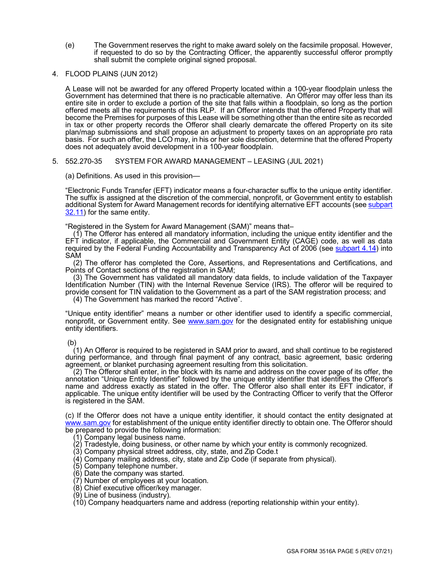- (e) The Government reserves the right to make award solely on the facsimile proposal. However, if requested to do so by the Contracting Officer, the apparently successful offeror promptly shall submit the complete original signed proposal.
- 4. FLOOD PLAINS (JUN 2012)

A Lease will not be awarded for any offered Property located within a 100-year floodplain unless the Government has determined that there is no practicable alternative. An Offeror may offer less than its entire site in order to exclude a portion of the site that falls within a floodplain, so long as the portion offered meets all the requirements of this RLP. If an Offeror intends that the offered Property that will become the Premises for purposes of this Lease will be something other than the entire site as recorded in tax or other property records the Offeror shall clearly demarcate the offered Property on its site plan/map submissions and shall propose an adjustment to property taxes on an appropriate pro rata basis. For such an offer, the LCO may, in his or her sole discretion, determine that the offered Property does not adequately avoid development in a 100-year floodplain.

#### 5. 552.270-35 SYSTEM FOR AWARD MANAGEMENT – LEASING (JUL 2021)

(a) Definitions. As used in this provision—

"Electronic Funds Transfer (EFT) indicator means a four-character suffix to the unique entity identifier. The suffix is assigned at the discretion of the commercial, nonprofit, or Government entity to establish additional System for Award Management records for identifying alternative EFT accounts (se[e subpart](https://www.acquisition.gov/content/part-32-contract-financing#i1080713)  [32.11\)](https://www.acquisition.gov/content/part-32-contract-financing#i1080713) for the same entity.

"Registered in the System for Award Management (SAM)" means that–

(1) The Offeror has entered all mandatory information, including the unique entity identifier and the EFT indicator, if applicable, the Commercial and Government Entity (CAGE) code, as well as data required by the Federal Funding Accountability and Transparency Act of 2006 (see [subpart 4.14\)](https://www.acquisition.gov/content/part-4-administrative-and-information-matters#i1121746) into SAM

(2) The offeror has completed the Core, Assertions, and Representations and Certifications, and Points of Contact sections of the registration in SAM;

(3) The Government has validated all mandatory data fields, to include validation of the Taxpayer Identification Number (TIN) with the Internal Revenue Service (IRS). The offeror will be required to provide consent for TIN validation to the Government as a part of the SAM registration process; and (4) The Government has marked the record "Active".

"Unique entity identifier" means a number or other identifier used to identify a specific commercial, nonprofit, or Government entity. See [www.sam.gov](http://www.sam.gov/) for the designated entity for establishing unique

entity identifiers.

(b)

(1) An Offeror is required to be registered in SAM prior to award, and shall continue to be registered during performance, and through final payment of any contract, basic agreement, basic ordering agreement, or blanket purchasing agreement resulting from this solicitation.

(2) The Offeror shall enter, in the block with its name and address on the cover page of its offer, the annotation "Unique Entity Identifier" followed by the unique entity identifier that identifies the Offeror's name and address exactly as stated in the offer. The Offeror also shall enter its EFT indicator, if applicable. The unique entity identifier will be used by the Contracting Officer to verify that the Offeror is registered in the SAM.

(c) If the Offeror does not have a unique entity identifier, it should contact the entity designated at [www.sam.gov](http://www.sam.gov/) for establishment of the unique entity identifier directly to obtain one. The Offeror should be prepared to provide the following information:

(1) Company legal business name.

- (2) Tradestyle, doing business, or other name by which your entity is commonly recognized.
- (3) Company physical street address, city, state, and Zip Code.t
- (4) Company mailing address, city, state and Zip Code (if separate from physical).
- (5) Company telephone number.
- (6) Date the company was started.
- (7) Number of employees at your location.
- (8) Chief executive officer/key manager.
- (9) Line of business (industry).
- (10) Company headquarters name and address (reporting relationship within your entity).